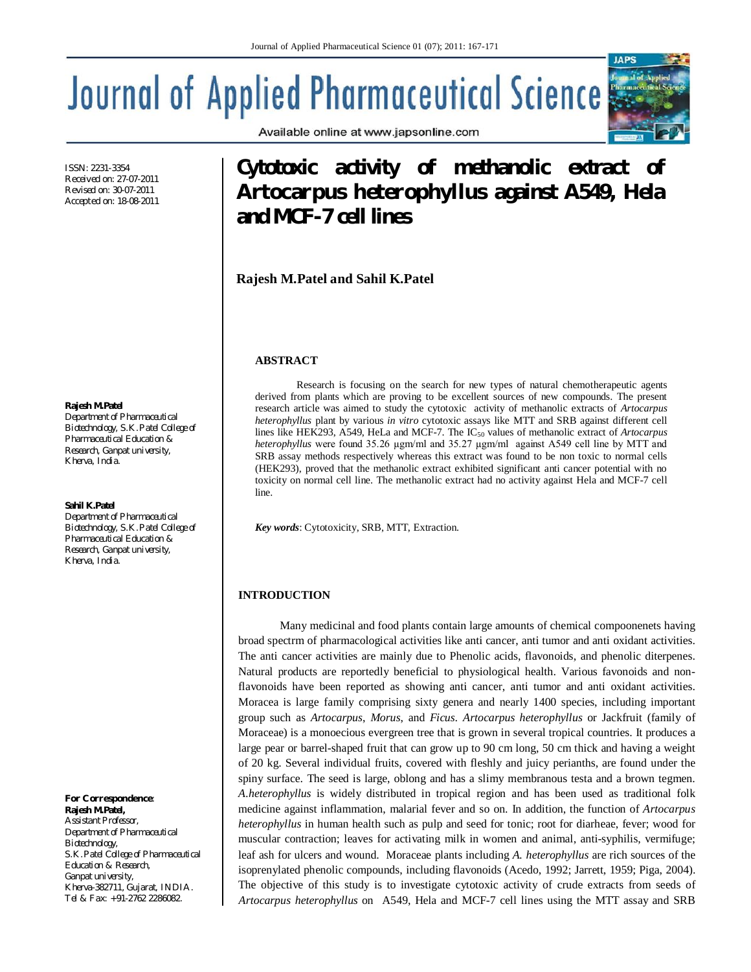# **Journal of Applied Pharmaceutical Science**

ISSN: 2231-3354 Received on: 27-07-2011 Revised on: 30-07-2011 Accepted on: 18-08-2011

#### **Rajesh M.Patel**

*Department of Pharmaceutical Biotechnology, S.K.Patel College of Pharmaceutical Education & Research, Ganpat university, Kherva, India.*

#### **Sahil K.Patel**

*Department of Pharmaceutical Biotechnology, S.K.Patel College of Pharmaceutical Education & Research, Ganpat university, Kherva, India.*

*For Correspondence:*  **Rajesh M.Patel,** *Assistant Professor, Department of Pharmaceutical Biotechnology, S.K.Patel College of Pharmaceutical Education & Research, Ganpat university, Kherva-382711, Gujarat, INDIA. Tel & Fax: +91-2762 2286082.*

Available online at www.japsonline.com

# **Cytotoxic activity of methanolic extract of**  *Artocarpus heterophyllus* **against A549, Hela and MCF-7 cell lines**

**Rajesh M.Patel and Sahil K.Patel**

#### **ABSTRACT**

Research is focusing on the search for new types of natural chemotherapeutic agents derived from plants which are proving to be excellent sources of new compounds. The present research article was aimed to study the cytotoxic activity of methanolic extracts of *Artocarpus heterophyllus* plant by various *in vitro* cytotoxic assays like MTT and SRB against different cell lines like HEK293, A549, HeLa and MCF-7. The IC<sub>50</sub> values of methanolic extract of *Artocarpus heterophyllus* were found 35.26 µgm/ml and 35.27 µgm/ml against A549 cell line by MTT and SRB assay methods respectively whereas this extract was found to be non toxic to normal cells (HEK293), proved that the methanolic extract exhibited significant anti cancer potential with no toxicity on normal cell line. The methanolic extract had no activity against Hela and MCF-7 cell line.

*Key words*: Cytotoxicity, SRB, MTT, Extraction.

# **INTRODUCTION**

Many medicinal and food plants contain large amounts of chemical compoonenets having broad spectrm of pharmacological activities like anti cancer, anti tumor and anti oxidant activities. The anti cancer activities are mainly due to Phenolic acids, flavonoids, and phenolic diterpenes. Natural products are reportedly beneficial to physiological health. Various favonoids and nonflavonoids have been reported as showing anti cancer, anti tumor and anti oxidant activities. Moracea is large family comprising sixty genera and nearly 1400 species, including important group such as *Artocarpus*, *Morus*, and *Ficus*. *Artocarpus heterophyllus* or Jackfruit (family of Moraceae) is a monoecious evergreen tree that is grown in several tropical countries. It produces a large pear or barrel-shaped fruit that can grow up to 90 cm long, 50 cm thick and having a weight of 20 kg. Several individual fruits, covered with fleshly and juicy perianths, are found under the spiny surface. The seed is large, oblong and has a slimy membranous testa and a brown tegmen. *A.heterophyllus* is widely distributed in tropical region and has been used as traditional folk medicine against inflammation, malarial fever and so on. In addition, the function of *Artocarpus heterophyllus* in human health such as pulp and seed for tonic; root for diarheae, fever; wood for muscular contraction; leaves for activating milk in women and animal, anti-syphilis, vermifuge; leaf ash for ulcers and wound. Moraceae plants including *A. heterophyllus* are rich sources of the isoprenylated phenolic compounds, including flavonoids (Acedo, 1992; Jarrett, 1959; Piga, 2004). The objective of this study is to investigate cytotoxic activity of crude extracts from seeds of .*Artocarpus heterophyllus* on A549, Hela and MCF-7 cell lines using the MTT assay and SRB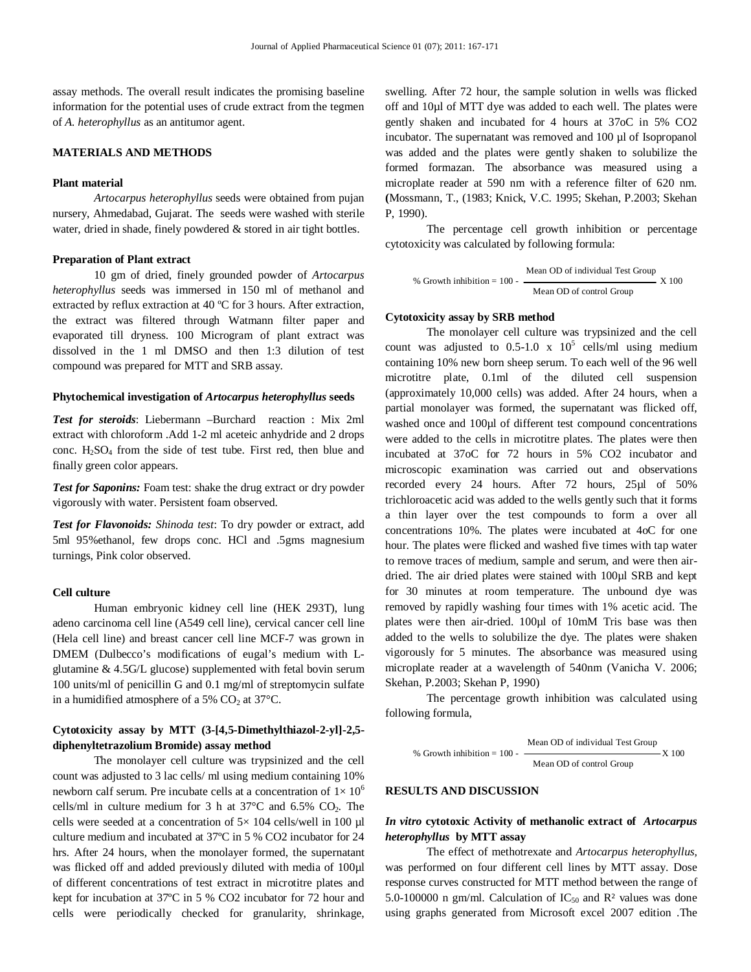assay methods. The overall result indicates the promising baseline information for the potential uses of crude extract from the tegmen of *A. heterophyllus* as an antitumor agent.

# **MATERIALS AND METHODS**

#### **Plant material**

*Artocarpus heterophyllus* seeds were obtained from pujan nursery, Ahmedabad, Gujarat. The seeds were washed with sterile water, dried in shade, finely powdered & stored in air tight bottles.

#### **Preparation of Plant extract**

10 gm of dried, finely grounded powder of *Artocarpus heterophyllus* seeds was immersed in 150 ml of methanol and extracted by reflux extraction at 40 ºC for 3 hours. After extraction, the extract was filtered through Watmann filter paper and evaporated till dryness. 100 Microgram of plant extract was dissolved in the 1 ml DMSO and then 1:3 dilution of test compound was prepared for MTT and SRB assay.

#### **Phytochemical investigation of** *Artocarpus heterophyllus* **seeds**

*Test for steroids*: Liebermann –Burchard reaction : Mix 2ml extract with chloroform .Add 1-2 ml aceteic anhydride and 2 drops conc. H2SO<sup>4</sup> from the side of test tube. First red, then blue and finally green color appears.

*Test for Saponins:* Foam test: shake the drug extract or dry powder vigorously with water. Persistent foam observed.

*Test for Flavonoids: Shinoda test*: To dry powder or extract, add 5ml 95%ethanol, few drops conc. HCl and .5gms magnesium turnings, Pink color observed.

#### **Cell culture**

Human embryonic kidney cell line (HEK 293T), lung adeno carcinoma cell line (A549 cell line), cervical cancer cell line (Hela cell line) and breast cancer cell line MCF-7 was grown in DMEM (Dulbecco's modifications of eugal's medium with Lglutamine & 4.5G/L glucose) supplemented with fetal bovin serum 100 units/ml of penicillin G and 0.1 mg/ml of streptomycin sulfate in a humidified atmosphere of a 5%  $CO<sub>2</sub>$  at 37°C.

# **Cytotoxicity assay by MTT (3-[4,5-Dimethylthiazol-2-yl]-2,5 diphenyltetrazolium Bromide) assay method**

The monolayer cell culture was trypsinized and the cell count was adjusted to 3 lac cells/ ml using medium containing 10% newborn calf serum. Pre incubate cells at a concentration of  $1 \times 10^6$ cells/ml in culture medium for  $3$  h at  $37^{\circ}$ C and  $6.5\%$  CO<sub>2</sub>. The cells were seeded at a concentration of  $5 \times 104$  cells/well in 100 µl culture medium and incubated at 37ºC in 5 % CO2 incubator for 24 hrs. After 24 hours, when the monolayer formed, the supernatant was flicked off and added previously diluted with media of 100µl of different concentrations of test extract in microtitre plates and kept for incubation at 37ºC in 5 % CO2 incubator for 72 hour and cells were periodically checked for granularity, shrinkage,

swelling. After 72 hour, the sample solution in wells was flicked off and 10µl of MTT dye was added to each well. The plates were gently shaken and incubated for 4 hours at 37oC in 5% CO2 incubator. The supernatant was removed and 100 µl of Isopropanol was added and the plates were gently shaken to solubilize the formed formazan. The absorbance was measured using a microplate reader at 590 nm with a reference filter of 620 nm. **(**Mossmann, T., (1983; Knick, V.C. 1995; Skehan, P.2003; Skehan P, 1990).

The percentage cell growth inhibition or percentage cytotoxicity was calculated by following formula:

$$
\% \text{ Growth inhibition} = 100 - \frac{\text{Mean OD of individual Test Group}}{\text{Mean OD of control Group}} \text{X } 100
$$

#### **Cytotoxicity assay by SRB method**

The monolayer cell culture was trypsinized and the cell count was adjusted to  $0.5{\text -}1.0 \times 10^5$  cells/ml using medium containing 10% new born sheep serum. To each well of the 96 well microtitre plate, 0.1ml of the diluted cell suspension (approximately 10,000 cells) was added. After 24 hours, when a partial monolayer was formed, the supernatant was flicked off, washed once and 100µl of different test compound concentrations were added to the cells in microtitre plates. The plates were then incubated at 37oC for 72 hours in 5% CO2 incubator and microscopic examination was carried out and observations recorded every 24 hours. After 72 hours, 25µl of 50% trichloroacetic acid was added to the wells gently such that it forms a thin layer over the test compounds to form a over all concentrations 10%. The plates were incubated at 4oC for one hour. The plates were flicked and washed five times with tap water to remove traces of medium, sample and serum, and were then airdried. The air dried plates were stained with 100µl SRB and kept for 30 minutes at room temperature. The unbound dye was removed by rapidly washing four times with 1% acetic acid. The plates were then air-dried. 100µl of 10mM Tris base was then added to the wells to solubilize the dye. The plates were shaken vigorously for 5 minutes. The absorbance was measured using microplate reader at a wavelength of 540nm (Vanicha V. 2006; Skehan, P.2003; Skehan P, 1990)

The percentage growth inhibition was calculated using following formula,

$$
\% \text{ Growth inhibition} = 100 - \frac{\text{Mean OD of individual Test Group}}{\text{Mean OD of control Group}} \times 100
$$

#### **RESULTS AND DISCUSSION**

# *In vitro* **cytotoxic Activity of methanolic extract of** *Artocarpus heterophyllus* **by MTT assay**

The effect of methotrexate and *Artocarpus heterophyllus,*  was performed on four different cell lines by MTT assay. Dose response curves constructed for MTT method between the range of 5.0-100000 n gm/ml. Calculation of  $IC_{50}$  and  $R<sup>2</sup>$  values was done using graphs generated from Microsoft excel 2007 edition .The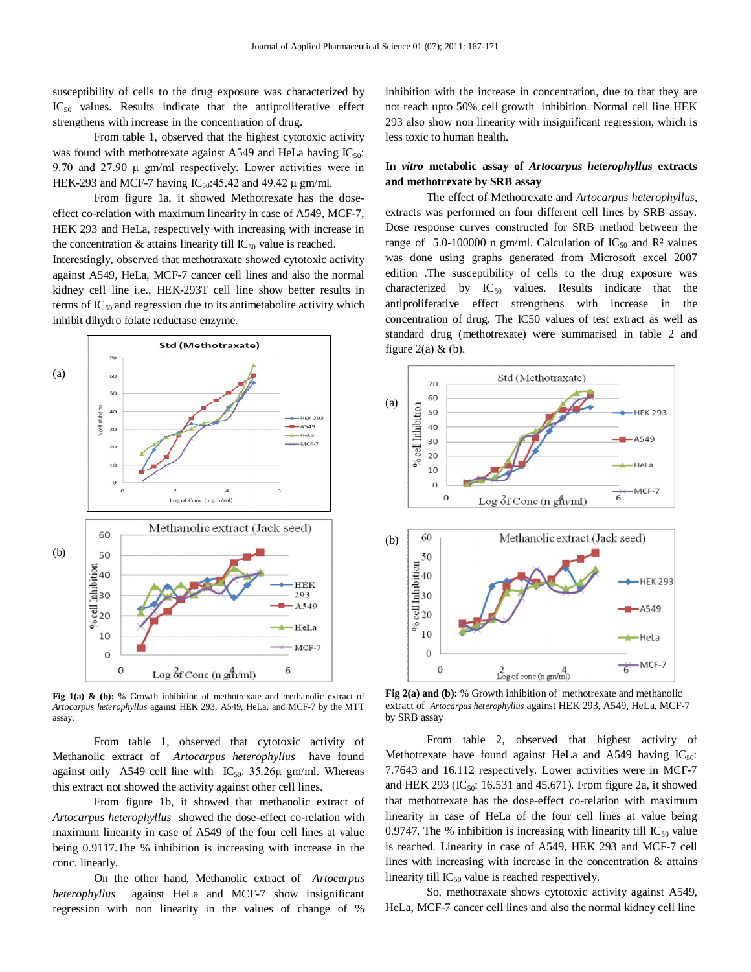susceptibility of cells to the drug exposure was characterized by  $IC_{50}$  values. Results indicate that the antiproliferative effect strengthens with increase in the concentration of drug.

From table 1, observed that the highest cytotoxic activity was found with methotrexate against A549 and HeLa having  $IC_{50}$ : 9.70 and  $27.90 \mu$  gm/ml respectively. Lower activities were in HEK-293 and MCF-7 having  $IC_{50}$ :45.42 and 49.42  $\mu$  gm/ml.

From figure 1a, it showed Methotrexate has the doseeffect co-relation with maximum linearity in case of A549, MCF-7, HEK 293 and HeLa, respectively with increasing with increase in the concentration  $&$  attains linearity till IC<sub>50</sub> value is reached.

Interestingly, observed that methotraxate showed cytotoxic activity against A549, HeLa, MCF-7 cancer cell lines and also the normal kidney cell line i.e., HEK-293T cell line show better results in terms of  $IC_{50}$  and regression due to its antimetabolite activity which inhibit dihydro folate reductase enzyme.



Fig 1(a) & (b): % Growth inhibition of methotrexate and methanolic extract of *Artocarpus heterophyllus* against HEK 293, A549, HeLa, and MCF-7 by the MTT assay.

From table 1, observed that cytotoxic activity of Methanolic extract of *Artocarpus heterophyllus* have found against only A549 cell line with  $IC_{50}$ : 35.26 $\mu$  gm/ml. Whereas this extract not showed the activity against other cell lines.

From figure 1b, it showed that methanolic extract of *Artocarpus heterophyllus* showed the dose-effect co-relation with maximum linearity in case of A549 of the four cell lines at value being 0.9117.The % inhibition is increasing with increase in the conc. linearly.

On the other hand, Methanolic extract of *Artocarpus heterophyllus* against HeLa and MCF-7 show insignificant regression with non linearity in the values of change of %

inhibition with the increase in concentration, due to that they are not reach upto 50% cell growth inhibition. Normal cell line HEK 293 also show non linearity with insignificant regression, which is less toxic to human health.

# **In** *vitro* **metabolic assay of** *Artocarpus heterophyllus* **extracts and methotrexate by SRB assay**

The effect of Methotrexate and *Artocarpus heterophyllus,*  extracts was performed on four different cell lines by SRB assay. Dose response curves constructed for SRB method between the range of 5.0-100000 n gm/ml. Calculation of  $IC_{50}$  and  $R<sup>2</sup>$  values was done using graphs generated from Microsoft excel 2007 edition .The susceptibility of cells to the drug exposure was characterized by  $IC_{50}$  values. Results indicate that the antiproliferative effect strengthens with increase in the concentration of drug. The IC50 values of test extract as well as standard drug (methotrexate) were summarised in table 2 and figure  $2(a)$  & (b).



**Fig 2(a) and (b):** % Growth inhibition of methotrexate and methanolic extract of *Artocarpus heterophyllus* against HEK 293, A549, HeLa, MCF-7 by SRB assay

From table 2, observed that highest activity of Methotrexate have found against HeLa and A549 having  $IC_{50}$ : 7.7643 and 16.112 respectively. Lower activities were in MCF-7 and HEK 293 (IC<sub>50</sub>: 16.531 and 45.671). From figure 2a, it showed that methotrexate has the dose-effect co-relation with maximum linearity in case of HeLa of the four cell lines at value being 0.9747. The % inhibition is increasing with linearity till  $IC_{50}$  value is reached. Linearity in case of A549, HEK 293 and MCF-7 cell lines with increasing with increase in the concentration & attains linearity till  $IC_{50}$  value is reached respectively.

So, methotraxate shows cytotoxic activity against A549, HeLa, MCF-7 cancer cell lines and also the normal kidney cell line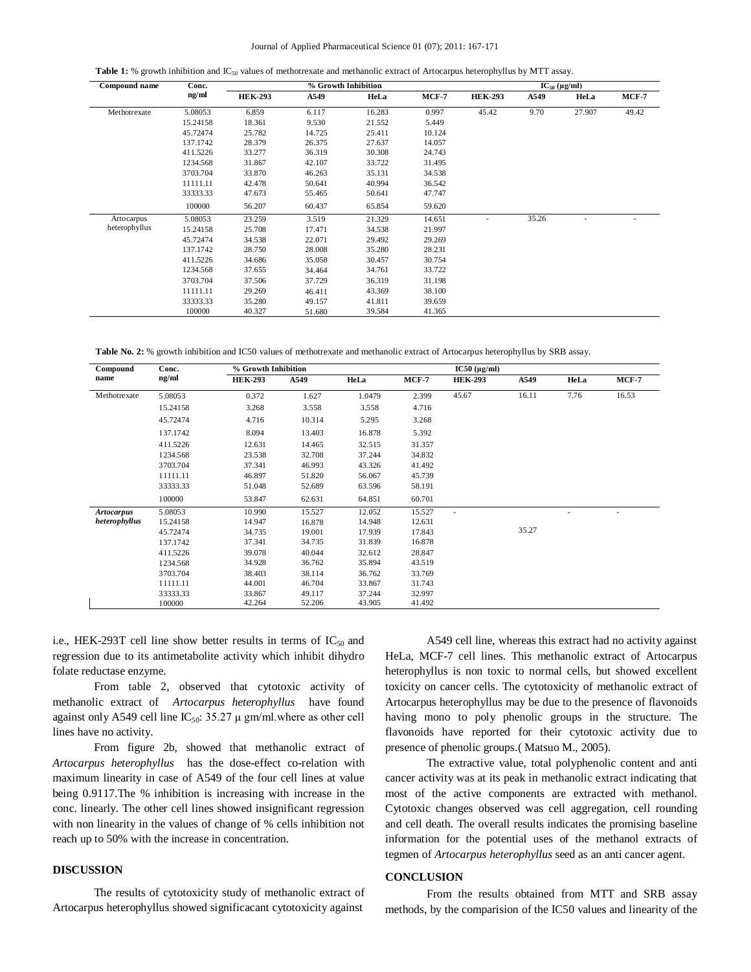**Table 1:** % growth inhibition and IC<sub>50</sub> values of methotrexate and methanolic extract of Artocarpus heterophyllus by MTT assay.

| Compound name | Conc.<br>ng/ml | % Growth Inhibition |        |        |         | $IC_{50} (\mu g/ml)$ |       |        |              |
|---------------|----------------|---------------------|--------|--------|---------|----------------------|-------|--------|--------------|
|               |                | <b>HEK-293</b>      | A549   | HeLa   | $MCF-7$ | <b>HEK-293</b>       | A549  | HeLa   | <b>MCF-7</b> |
| Methotrexate  | 5.08053        | 6.859               | 6.117  | 16.283 | 0.997   | 45.42                | 9.70  | 27.907 | 49.42        |
|               | 15.24158       | 18.361              | 9.530  | 21.552 | 5.449   |                      |       |        |              |
|               | 45.72474       | 25.782              | 14.725 | 25.411 | 10.124  |                      |       |        |              |
|               | 137.1742       | 28.379              | 26.375 | 27.637 | 14.057  |                      |       |        |              |
|               | 411.5226       | 33.277              | 36.319 | 30.308 | 24.743  |                      |       |        |              |
|               | 1234.568       | 31.867              | 42.107 | 33.722 | 31.495  |                      |       |        |              |
|               | 3703.704       | 33.870              | 46.263 | 35.131 | 34.538  |                      |       |        |              |
|               | 11111.11       | 42.478              | 50.641 | 40.994 | 36.542  |                      |       |        |              |
|               | 33333.33       | 47.673              | 55.465 | 50.641 | 47.747  |                      |       |        |              |
|               | 100000         | 56.207              | 60.437 | 65.854 | 59.620  |                      |       |        |              |
| Artocarpus    | 5.08053        | 23.259              | 3.519  | 21.329 | 14.651  | ٠                    | 35.26 | ٠      |              |
| heterophyllus | 15.24158       | 25.708              | 17.471 | 34.538 | 21.997  |                      |       |        |              |
|               | 45.72474       | 34.538              | 22.071 | 29.492 | 29.269  |                      |       |        |              |
|               | 137.1742       | 28.750              | 28,008 | 35.280 | 28.231  |                      |       |        |              |
|               | 411.5226       | 34.686              | 35.058 | 30.457 | 30.754  |                      |       |        |              |
|               | 1234.568       | 37.655              | 34.464 | 34.761 | 33.722  |                      |       |        |              |
|               | 3703.704       | 37.506              | 37.729 | 36.319 | 31.198  |                      |       |        |              |
|               | 11111.11       | 29.269              | 46.411 | 43.369 | 38.100  |                      |       |        |              |
|               | 33333.33       | 35.280              | 49.157 | 41.811 | 39.659  |                      |       |        |              |
|               | 100000         | 40.327              | 51.680 | 39.584 | 41.365  |                      |       |        |              |

**Table No. 2:** % growth inhibition and IC50 values of methotrexate and methanolic extract of Artocarpus heterophyllus by SRB assay.

| Compound<br>name  | Conc.<br>ng/ml | % Growth Inhibition |        |        |        | $IC50 (\mu g/ml)$        |       |      |       |
|-------------------|----------------|---------------------|--------|--------|--------|--------------------------|-------|------|-------|
|                   |                | <b>HEK-293</b>      | A549   | HeLa   | MCF-7  | <b>HEK-293</b>           | A549  | HeLa | MCF-7 |
| Methotrexate      | 5.08053        | 0.372               | 1.627  | 1.0479 | 2.399  | 45.67                    | 16.11 | 7.76 | 16.53 |
|                   | 15.24158       | 3.268               | 3.558  | 3.558  | 4.716  |                          |       |      |       |
|                   | 45.72474       | 4.716               | 10.314 | 5.295  | 3.268  |                          |       |      |       |
|                   | 137.1742       | 8.094               | 13.403 | 16.878 | 5.392  |                          |       |      |       |
|                   | 411.5226       | 12.631              | 14.465 | 32.515 | 31.357 |                          |       |      |       |
|                   | 1234.568       | 23.538              | 32.708 | 37.244 | 34.832 |                          |       |      |       |
|                   | 3703.704       | 37.341              | 46.993 | 43.326 | 41.492 |                          |       |      |       |
|                   | 11111.11       | 46.897              | 51.820 | 56.067 | 45.739 |                          |       |      |       |
|                   | 33333.33       | 51.048              | 52.689 | 63.596 | 58.191 |                          |       |      |       |
|                   | 100000         | 53.847              | 62.631 | 64.851 | 60.701 |                          |       |      |       |
| <b>Artocarpus</b> | 5.08053        | 10.990              | 15.527 | 12.052 | 15.527 | $\overline{\phantom{a}}$ |       | ٠    | ٠     |
| heterophyllus     | 15.24158       | 14.947              | 16.878 | 14.948 | 12.631 |                          |       |      |       |
|                   | 45.72474       | 34.735              | 19.001 | 17.939 | 17.843 |                          | 35.27 |      |       |
|                   | 137.1742       | 37.341              | 34.735 | 31.839 | 16.878 |                          |       |      |       |
|                   | 411.5226       | 39.078              | 40.044 | 32.612 | 28.847 |                          |       |      |       |
|                   | 1234.568       | 34.928              | 36.762 | 35.894 | 43.519 |                          |       |      |       |
|                   | 3703.704       | 38.403              | 38.114 | 36.762 | 33.769 |                          |       |      |       |
|                   | 11111.11       | 44.001              | 46.704 | 33.867 | 31.743 |                          |       |      |       |
|                   | 33333.33       | 33.867              | 49.117 | 37.244 | 32.997 |                          |       |      |       |
|                   | 100000         | 42.264              | 52.206 | 43.905 | 41.492 |                          |       |      |       |

i.e., HEK-293T cell line show better results in terms of  $IC_{50}$  and regression due to its antimetabolite activity which inhibit dihydro folate reductase enzyme.

From table 2, observed that cytotoxic activity of methanolic extract of *Artocarpus heterophyllus* have found against only A549 cell line  $IC_{50}$ : 35.27  $\mu$  gm/ml.where as other cell lines have no activity.

From figure 2b, showed that methanolic extract of *Artocarpus heterophyllus* has the dose-effect co-relation with maximum linearity in case of A549 of the four cell lines at value being 0.9117.The % inhibition is increasing with increase in the conc. linearly. The other cell lines showed insignificant regression with non linearity in the values of change of % cells inhibition not reach up to 50% with the increase in concentration.

# **DISCUSSION**

The results of cytotoxicity study of methanolic extract of Artocarpus heterophyllus showed significacant cytotoxicity against

A549 cell line, whereas this extract had no activity against HeLa, MCF-7 cell lines. This methanolic extract of Artocarpus heterophyllus is non toxic to normal cells, but showed excellent toxicity on cancer cells. The cytotoxicity of methanolic extract of Artocarpus heterophyllus may be due to the presence of flavonoids having mono to poly phenolic groups in the structure. The flavonoids have reported for their cytotoxic activity due to presence of phenolic groups.( Matsuo M., 2005).

The extractive value, total polyphenolic content and anti cancer activity was at its peak in methanolic extract indicating that most of the active components are extracted with methanol. Cytotoxic changes observed was cell aggregation, cell rounding and cell death. The overall results indicates the promising baseline information for the potential uses of the methanol extracts of tegmen of *Artocarpus heterophyllus* seed as an anti cancer agent.

# **CONCLUSION**

From the results obtained from MTT and SRB assay methods, by the comparision of the IC50 values and linearity of the